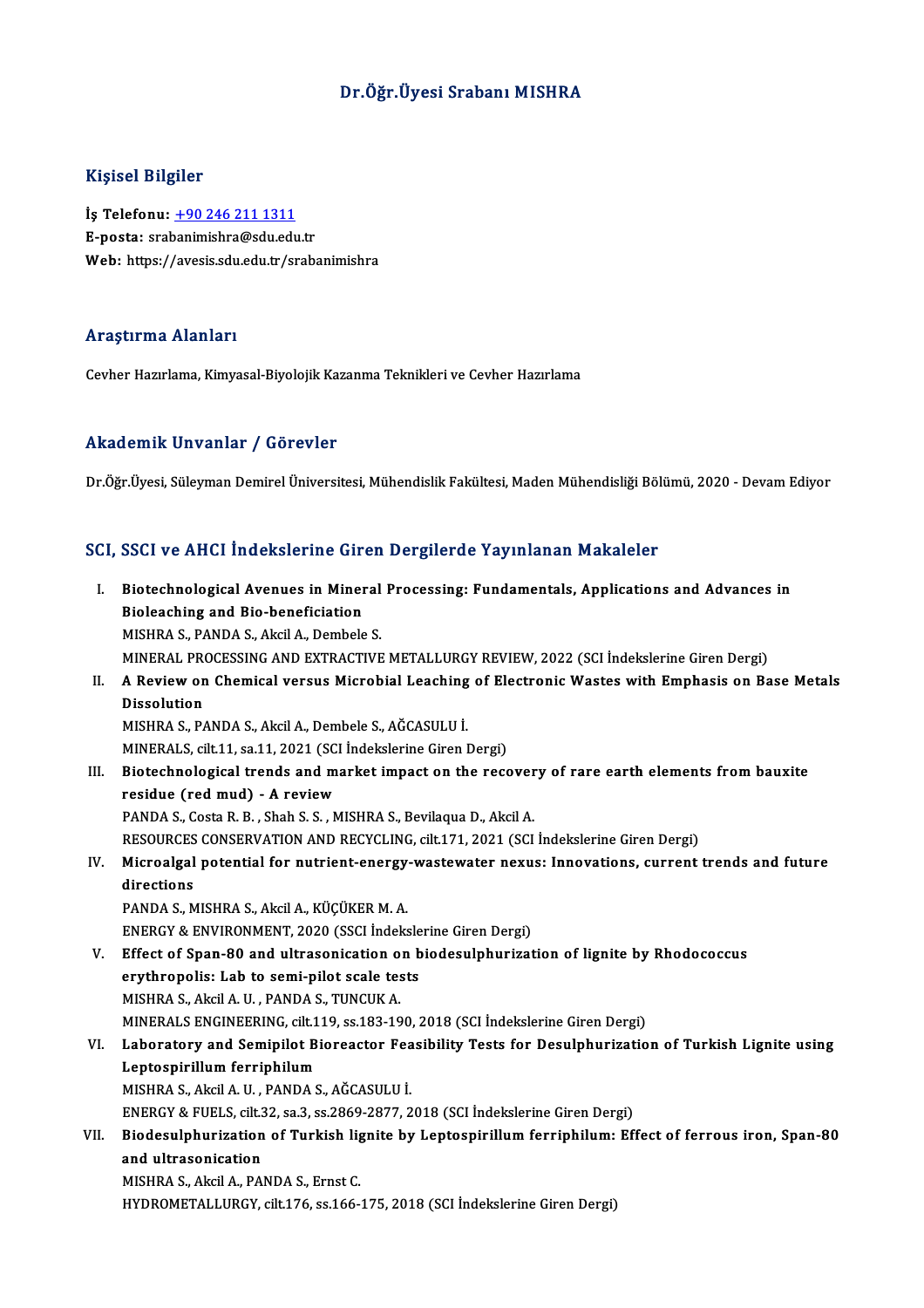## Dr.Öğr.Üyesi Srabanı MISHRA

### Kişisel Bilgiler

İş Telefonu: +90 246 211 1311 E-posta: sra[banimishra@sdu.edu](tel:+90 246 211 1311).tr Web: https://avesis.sdu.edu.tr/srabanimishra

### Araştırma Alanları

Cevher Hazırlama, Kimyasal-Biyolojik Kazanma Teknikleri ve Cevher Hazırlama

### Akademik Unvanlar / Görevler

Dr.Öğr.Üyesi, Süleyman Demirel Üniversitesi, Mühendislik Fakültesi, Maden Mühendisliği Bölümü, 2020 - Devam Ediyor

### SCI, SSCI ve AHCI İndekslerine Giren Dergilerde Yayınlanan Makaleler

CI, SSCI ve AHCI İndekslerine Giren Dergilerde Yayınlanan Makaleler<br>I. Biotechnological Avenues in Mineral Processing: Fundamentals, Applications and Advances in<br>Riologobing and Rio baneficiation Biotechnological Avenues in Miner<br>Biotechnological Avenues in Miner<br>MISURA S. BANDA S. Akcil A. Dembels Biotechnological Avenues in Mineral<br>Bioleaching and Bio-beneficiation<br>MISHRA S., PANDA S., Akcil A., Dembele S.<br>MINERAL PROCESSING AND EXTRACTIVE Bioleaching and Bio-beneficiation<br>MISHRA S., PANDA S., Akcil A., Dembele S.<br>MINERAL PROCESSING AND EXTRACTIVE METALLURGY REVIEW, 2022 (SCI İndekslerine Giren Dergi) MISHRA S., PANDA S., Akcil A., Dembele S.<br>MINERAL PROCESSING AND EXTRACTIVE METALLURGY REVIEW, 2022 (SCI Indekslerine Giren Dergi)<br>II. A Review on Chemical versus Microbial Leaching of Electronic Wastes with Emphasis o MINERAL PRO<br>A Review on<br>Dissolution<br>MISUPAS R/ A Review on Chemical versus Microbial Leaching<br>Dissolution<br>MISHRA S., PANDA S., Akcil A., Dembele S., AĞCASULU İ.<br>MINERALS. silt 11.50.11.2021.(SCLİndekalerine Giron I Dissolution<br>MISHRA S., PANDA S., Akcil A., Dembele S., AĞCASULU İ.<br>MINERALS, cilt.11, sa.11, 2021 (SCI İndekslerine Giren Dergi) MISHRA S., PANDA S., Akcil A., Dembele S., AĞCASULU İ.<br>MINERALS, cilt.11, sa.11, 2021 (SCI İndekslerine Giren Dergi)<br>III. Biotechnological trends and market impact on the recovery of rare earth elements from bauxite<br>recidu MINERALS, cilt.11, sa.11, 2021 (SC)<br>Biotechnological trends and m<br>residue (red mud) - A review Biotechnological trends and market impact on the recover<br>residue (red mud) - A review<br>PANDA S., Costa R. B. , Shah S. S. , MISHRA S., Bevilaqua D., Akcil A.<br>RESOURCES CONSERVATION AND RECYCLING silt 171-2021 (SCL residue (red mud) - A review<br>PANDA S., Costa R. B. , Shah S. S. , MISHRA S., Bevilaqua D., Akcil A.<br>RESOURCES CONSERVATION AND RECYCLING, cilt.171, 2021 (SCI İndekslerine Giren Dergi)<br>Miaroalgal natantial for nutriant anar PANDA S., Costa R. B. , Shah S. S. , MISHRA S., Bevilaqua D., Akcil A.<br>RESOURCES CONSERVATION AND RECYCLING, cilt.171, 2021 (SCI Indekslerine Giren Dergi)<br>IV. Microalgal potential for nutrient-energy-wastewater nexus: Inno RESOURCES<br>Microalgal<br>directions<br>RANDA S. M PANDA S., MISHRA S., Akcil A., KÜÇÜKER M. A. directions<br>PANDA S., MISHRA S., Akcil A., KÜÇÜKER M. A.<br>ENERGY & ENVIRONMENT, 2020 (SSCI İndekslerine Giren Dergi)<br>Effect of Span 80 and ultrasanisation an biodesulphurisat PANDA S., MISHRA S., Akcil A., KÜÇÜKER M. A.<br>ENERGY & ENVIRONMENT, 2020 (SSCI Indekslerine Giren Dergi)<br>V. Effect of Span-80 and ultrasonication on biodesulphurization of lignite by Rhodococcus<br>exit bronalis: Lab to semi-p ENERGY & ENVIRONMENT, 2020 (SSCI indeksle<br>Effect of Span-80 and ultrasonication on b<br>erythropolis: Lab to semi-pilot scale tests<br>MISHPA S. Algil A H. PANDA S. TUNGUK A Effect of Span-80 and ultrasonication o<br>erythropolis: Lab to semi-pilot scale tes<br>MISHRA S., Akcil A. U. , PANDA S., TUNCUK A.<br>MINERALS ENCINEERING cilt 119 ss 192-19 erythropolis: Lab to semi-pilot scale tests<br>MISHRA S., Akcil A. U. , PANDA S., TUNCUK A.<br>MINERALS ENGINEERING, cilt.119, ss.183-190, 2018 (SCI İndekslerine Giren Dergi) MISHRA S., Akcil A. U. , PANDA S., TUNCUK A.<br>MINERALS ENGINEERING, cilt.119, ss.183-190, 2018 (SCI İndekslerine Giren Dergi)<br>VI. Laboratory and Semipilot Bioreactor Feasibility Tests for Desulphurization of Turkish Lig MINERALS ENGINEERING, cilt.1<br>Laboratory and Semipilot B<br>Leptospirillum ferriphilum<br>MISHPA S. Algil A. H., PANDA S Laboratory and Semipilot Bioreactor Fea<br>Leptospirillum ferriphilum<br>MISHRA S., Akcil A. U. , PANDA S., AĞCASULU İ.<br>ENEPCY & EUELS. cilt 22. co 2.co 2960.2977. 2 Leptospirillum ferriphilum<br>MISHRA S., Akcil A. U. , PANDA S., AĞCASULU İ.<br>ENERGY & FUELS, cilt.32, sa.3, ss.2869-2877, 2018 (SCI İndekslerine Giren Dergi)<br>Piodesulphurization of Turkish lispite bu Lentesnirillum ferrinbilu MISHRA S., Akcil A. U. , PANDA S., AĞCASULU İ.<br>ENERGY & FUELS, cilt.32, sa.3, ss.2869-2877, 2018 (SCI İndekslerine Giren Dergi)<br>VII. Biodesulphurization of Turkish lignite by Leptospirillum ferriphilum: Effect of ferro ENERGY & FUELS, cilt.3<br>Biodesulphurization<br>and ultrasonication<br>MISURA S. Algil A. RA Biodesulphurization of Turkish lig<br>and ultrasonication<br>MISHRA S., Akcil A., PANDA S., Ernst C.<br>UVDROMETALLURCY silt 176 ss 166 i and ultrasonication<br>MISHRA S., Akcil A., PANDA S., Ernst C.<br>HYDROMETALLURGY, cilt.176, ss.166-175, 2018 (SCI İndekslerine Giren Dergi)